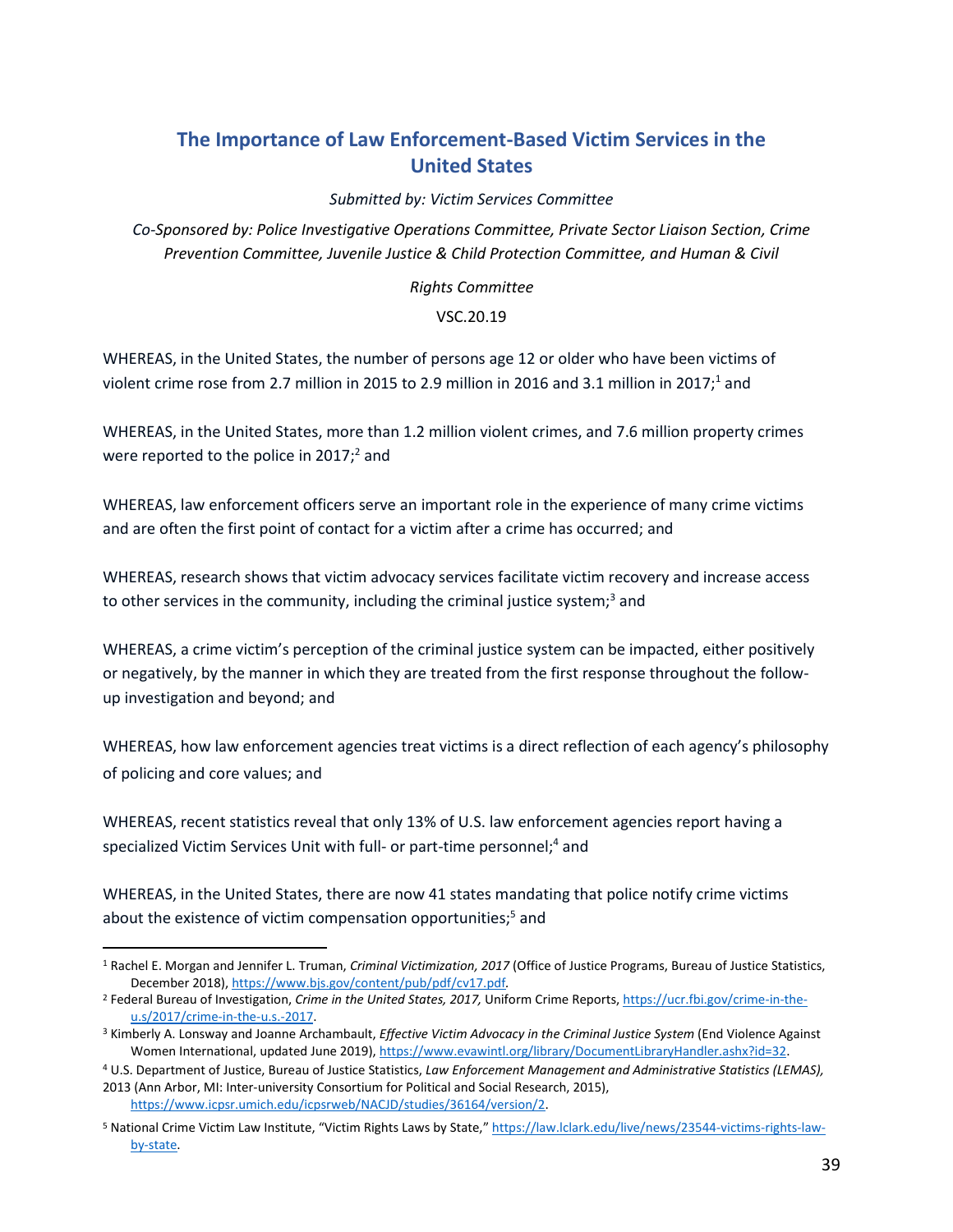## **The Importance of Law Enforcement-Based Victim Services in the United States**

*Submitted by: Victim Services Committee*

*Co-Sponsored by: Police Investigative Operations Committee, Private Sector Liaison Section, Crime Prevention Committee, Juvenile Justice & Child Protection Committee, and Human & Civil*

*Rights Committee*

## VSC.20.19

WHEREAS, in the United States, the number of persons age 12 or older who have been victims of violent crime rose from 2.7 million in 2015 to 2.9 million in 2016 and 3.1 million in 2017;<sup>1</sup> and

WHEREAS, in the United States, more than 1.2 million violent crimes, and 7.6 million property crimes were reported to the police in 2017;<sup>2</sup> and

WHEREAS, law enforcement officers serve an important role in the experience of many crime victims and are often the first point of contact for a victim after a crime has occurred; and

WHEREAS, research shows that victim advocacy services facilitate victim recovery and increase access to other services in the community, including the criminal justice system;<sup>3</sup> and

WHEREAS, a crime victim's perception of the criminal justice system can be impacted, either positively or negatively, by the manner in which they are treated from the first response throughout the followup investigation and beyond; and

WHEREAS, how law enforcement agencies treat victims is a direct reflection of each agency's philosophy of policing and core values; and

WHEREAS, recent statistics reveal that only 13% of U.S. law enforcement agencies report having a specialized Victim Services Unit with full- or part-time personnel;<sup>4</sup> and

WHEREAS, in the United States, there are now 41 states mandating that police notify crime victims about the existence of victim compensation opportunities;<sup>5</sup> and

<sup>1</sup> Rachel E. Morgan and Jennifer L. Truman, *Criminal Victimization, 2017* (Office of Justice Programs, Bureau of Justice Statistics, December 2018), https://www.bjs.gov/content/pub/pdf/cv17.pdf*.*

<sup>2</sup> Federal Bureau of Investigation, *Crime in the United States, 2017,* Uniform Crime Reports, https://ucr.fbi.gov/crime-in-theu.s/2017/crime-in-the-u.s.-2017.

<sup>3</sup> Kimberly A. Lonsway and Joanne Archambault, *Effective Victim Advocacy in the Criminal Justice System* (End Violence Against Women International, updated June 2019), https://www.evawintl.org/library/DocumentLibraryHandler.ashx?id=32.

<sup>4</sup> U.S. Department of Justice, Bureau of Justice Statistics, *Law Enforcement Management and Administrative Statistics (LEMAS),* 2013 (Ann Arbor, MI: Inter-university Consortium for Political and Social Research, 2015), https://www.icpsr.umich.edu/icpsrweb/NACJD/studies/36164/version/2.

<sup>5</sup> National Crime Victim Law Institute, "Victim Rights Laws by State," https://law.lclark.edu/live/news/23544-victims-rights-lawby-state.